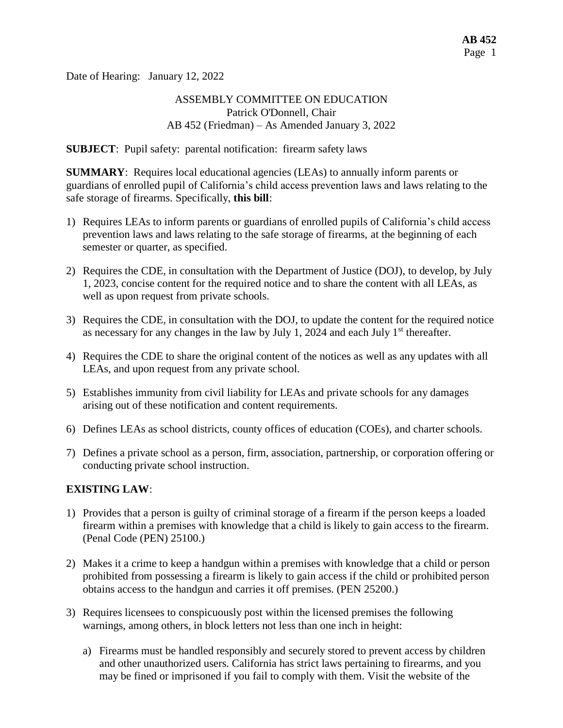Date of Hearing: January 12, 2022

### ASSEMBLY COMMITTEE ON EDUCATION Patrick O'Donnell, Chair AB 452 (Friedman) – As Amended January 3, 2022

**SUBJECT**: Pupil safety: parental notification: firearm safety laws

**SUMMARY**: Requires local educational agencies (LEAs) to annually inform parents or guardians of enrolled pupil of California's child access prevention laws and laws relating to the safe storage of firearms. Specifically, **this bill**:

- 1) Requires LEAs to inform parents or guardians of enrolled pupils of California's child access prevention laws and laws relating to the safe storage of firearms, at the beginning of each semester or quarter, as specified.
- 2) Requires the CDE, in consultation with the Department of Justice (DOJ), to develop, by July 1, 2023, concise content for the required notice and to share the content with all LEAs, as well as upon request from private schools.
- 3) Requires the CDE, in consultation with the DOJ, to update the content for the required notice as necessary for any changes in the law by July 1, 2024 and each July  $1<sup>st</sup>$  thereafter.
- 4) Requires the CDE to share the original content of the notices as well as any updates with all LEAs, and upon request from any private school.
- 5) Establishes immunity from civil liability for LEAs and private schools for any damages arising out of these notification and content requirements.
- 6) Defines LEAs as school districts, county offices of education (COEs), and charter schools.
- 7) Defines a private school as a person, firm, association, partnership, or corporation offering or conducting private school instruction.

## **EXISTING LAW**:

- 1) Provides that a person is guilty of criminal storage of a firearm if the person keeps a loaded firearm within a premises with knowledge that a child is likely to gain access to the firearm. (Penal Code (PEN) 25100.)
- 2) Makes it a crime to keep a handgun within a premises with knowledge that a child or person prohibited from possessing a firearm is likely to gain access if the child or prohibited person obtains access to the handgun and carries it off premises. (PEN 25200.)
- 3) Requires licensees to conspicuously post within the licensed premises the following warnings, among others, in block letters not less than one inch in height:
	- a) Firearms must be handled responsibly and securely stored to prevent access by children and other unauthorized users. California has strict laws pertaining to firearms, and you may be fined or imprisoned if you fail to comply with them. Visit the website of the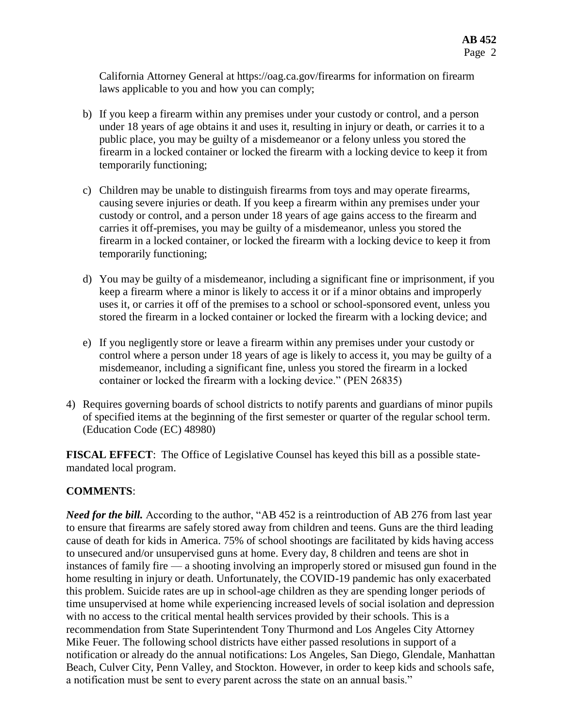California Attorney General at https://oag.ca.gov/firearms for information on firearm laws applicable to you and how you can comply;

- b) If you keep a firearm within any premises under your custody or control, and a person under 18 years of age obtains it and uses it, resulting in injury or death, or carries it to a public place, you may be guilty of a misdemeanor or a felony unless you stored the firearm in a locked container or locked the firearm with a locking device to keep it from temporarily functioning;
- c) Children may be unable to distinguish firearms from toys and may operate firearms, causing severe injuries or death. If you keep a firearm within any premises under your custody or control, and a person under 18 years of age gains access to the firearm and carries it off-premises, you may be guilty of a misdemeanor, unless you stored the firearm in a locked container, or locked the firearm with a locking device to keep it from temporarily functioning;
- d) You may be guilty of a misdemeanor, including a significant fine or imprisonment, if you keep a firearm where a minor is likely to access it or if a minor obtains and improperly uses it, or carries it off of the premises to a school or school-sponsored event, unless you stored the firearm in a locked container or locked the firearm with a locking device; and
- e) If you negligently store or leave a firearm within any premises under your custody or control where a person under 18 years of age is likely to access it, you may be guilty of a misdemeanor, including a significant fine, unless you stored the firearm in a locked container or locked the firearm with a locking device." (PEN 26835)
- 4) Requires governing boards of school districts to notify parents and guardians of minor pupils of specified items at the beginning of the first semester or quarter of the regular school term. (Education Code (EC) 48980)

**FISCAL EFFECT**: The Office of Legislative Counsel has keyed this bill as a possible statemandated local program.

# **COMMENTS**:

*Need for the bill.* According to the author, "AB 452 is a reintroduction of AB 276 from last year to ensure that firearms are safely stored away from children and teens. Guns are the third leading cause of death for kids in America. 75% of school shootings are facilitated by kids having access to unsecured and/or unsupervised guns at home. Every day, 8 children and teens are shot in instances of family fire — a shooting involving an improperly stored or misused gun found in the home resulting in injury or death. Unfortunately, the COVID-19 pandemic has only exacerbated this problem. Suicide rates are up in school-age children as they are spending longer periods of time unsupervised at home while experiencing increased levels of social isolation and depression with no access to the critical mental health services provided by their schools. This is a recommendation from State Superintendent Tony Thurmond and Los Angeles City Attorney Mike Feuer. The following school districts have either passed resolutions in support of a notification or already do the annual notifications: Los Angeles, San Diego, Glendale, Manhattan Beach, Culver City, Penn Valley, and Stockton. However, in order to keep kids and schools safe, a notification must be sent to every parent across the state on an annual basis."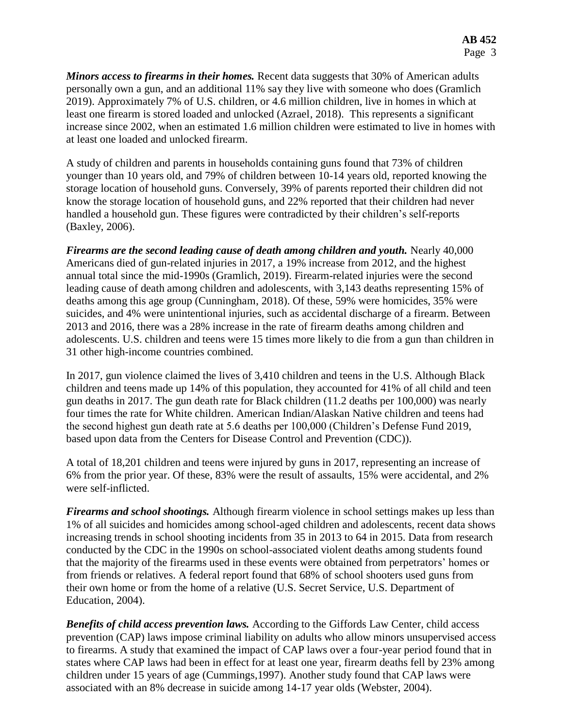*Minors access to firearms in their homes.* Recent data suggests that 30% of American adults personally own a gun, and an additional 11% say they live with someone who does (Gramlich 2019). Approximately 7% of U.S. children, or 4.6 million children, live in homes in which at least one firearm is stored loaded and unlocked (Azrael, 2018). This represents a significant increase since 2002, when an estimated 1.6 million children were estimated to live in homes with at least one loaded and unlocked firearm.

A study of children and parents in households containing guns found that 73% of children younger than 10 years old, and 79% of children between 10-14 years old, reported knowing the storage location of household guns. Conversely, 39% of parents reported their children did not know the storage location of household guns, and 22% reported that their children had never handled a household gun. These figures were contradicted by their children's self-reports (Baxley, 2006).

*Firearms are the second leading cause of death among children and youth.* Nearly 40,000 Americans died of gun-related injuries in 2017, a 19% increase from 2012, and the highest annual total since the mid-1990s (Gramlich, 2019). Firearm-related injuries were the second leading cause of death among children and adolescents, with 3,143 deaths representing 15% of deaths among this age group (Cunningham, 2018). Of these, 59% were homicides, 35% were suicides, and 4% were unintentional injuries, such as accidental discharge of a firearm. Between 2013 and 2016, there was a 28% increase in the rate of firearm deaths among children and adolescents. U.S. children and teens were 15 times more likely to die from a gun than children in 31 other high-income countries combined.

In 2017, gun violence claimed the lives of 3,410 children and teens in the U.S. Although Black children and teens made up 14% of this population, they accounted for 41% of all child and teen gun deaths in 2017. The gun death rate for Black children (11.2 deaths per 100,000) was nearly four times the rate for White children. American Indian/Alaskan Native children and teens had the second highest gun death rate at 5.6 deaths per 100,000 (Children's Defense Fund 2019, based upon data from the Centers for Disease Control and Prevention (CDC)).

A total of 18,201 children and teens were injured by guns in 2017, representing an increase of 6% from the prior year. Of these, 83% were the result of assaults, 15% were accidental, and 2% were self-inflicted.

*Firearms and school shootings.* Although firearm violence in school settings makes up less than 1% of all suicides and homicides among school-aged children and adolescents, recent data shows increasing trends in school shooting incidents from 35 in 2013 to 64 in 2015. Data from research conducted by the CDC in the 1990s on school-associated violent deaths among students found that the majority of the firearms used in these events were obtained from perpetrators' homes or from friends or relatives. A federal report found that 68% of school shooters used guns from their own home or from the home of a relative (U.S. Secret Service, U.S. Department of Education, 2004).

*Benefits of child access prevention laws.* According to the Giffords Law Center, child access prevention (CAP) laws impose criminal liability on adults who allow minors unsupervised access to firearms. A study that examined the impact of CAP laws over a four-year period found that in states where CAP laws had been in effect for at least one year, firearm deaths fell by 23% among children under 15 years of age (Cummings,1997). Another study found that CAP laws were associated with an 8% decrease in suicide among 14-17 year olds (Webster, 2004).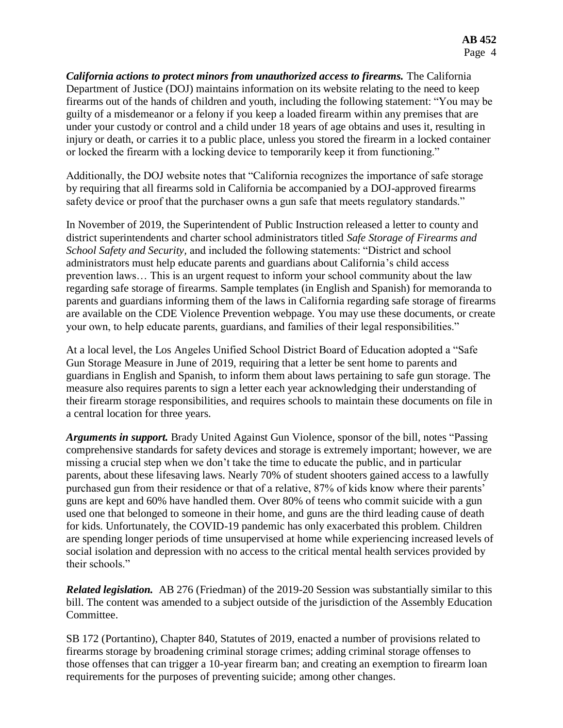*California actions to protect minors from unauthorized access to firearms.* The California Department of Justice (DOJ) maintains information on its website relating to the need to keep firearms out of the hands of children and youth, including the following statement: "You may be guilty of a misdemeanor or a felony if you keep a loaded firearm within any premises that are under your custody or control and a child under 18 years of age obtains and uses it, resulting in injury or death, or carries it to a public place, unless you stored the firearm in a locked container or locked the firearm with a locking device to temporarily keep it from functioning."

Additionally, the DOJ website notes that "California recognizes the importance of safe storage by requiring that all firearms sold in California be accompanied by a DOJ-approved firearms safety device or proof that the purchaser owns a gun safe that meets regulatory standards."

In November of 2019, the Superintendent of Public Instruction released a letter to county and district superintendents and charter school administrators titled *Safe Storage of Firearms and School Safety and Security,* and included the following statements: "District and school administrators must help educate parents and guardians about California's child access prevention laws… This is an urgent request to inform your school community about the law regarding safe storage of firearms. Sample templates (in English and Spanish) for memoranda to parents and guardians informing them of the laws in California regarding safe storage of firearms are available on the CDE Violence Prevention webpage. You may use these documents, or create your own, to help educate parents, guardians, and families of their legal responsibilities."

At a local level, the Los Angeles Unified School District Board of Education adopted a "Safe Gun Storage Measure in June of 2019, requiring that a letter be sent home to parents and guardians in English and Spanish, to inform them about laws pertaining to safe gun storage. The measure also requires parents to sign a letter each year acknowledging their understanding of their firearm storage responsibilities, and requires schools to maintain these documents on file in a central location for three years.

*Arguments in support.* Brady United Against Gun Violence, sponsor of the bill, notes "Passing comprehensive standards for safety devices and storage is extremely important; however, we are missing a crucial step when we don't take the time to educate the public, and in particular parents, about these lifesaving laws. Nearly 70% of student shooters gained access to a lawfully purchased gun from their residence or that of a relative, 87% of kids know where their parents' guns are kept and 60% have handled them. Over 80% of teens who commit suicide with a gun used one that belonged to someone in their home, and guns are the third leading cause of death for kids. Unfortunately, the COVID-19 pandemic has only exacerbated this problem. Children are spending longer periods of time unsupervised at home while experiencing increased levels of social isolation and depression with no access to the critical mental health services provided by their schools."

*Related legislation.* AB 276 (Friedman) of the 2019-20 Session was substantially similar to this bill. The content was amended to a subject outside of the jurisdiction of the Assembly Education Committee.

SB 172 (Portantino), Chapter 840, Statutes of 2019, enacted a number of provisions related to firearms storage by broadening criminal storage crimes; adding criminal storage offenses to those offenses that can trigger a 10-year firearm ban; and creating an exemption to firearm loan requirements for the purposes of preventing suicide; among other changes.